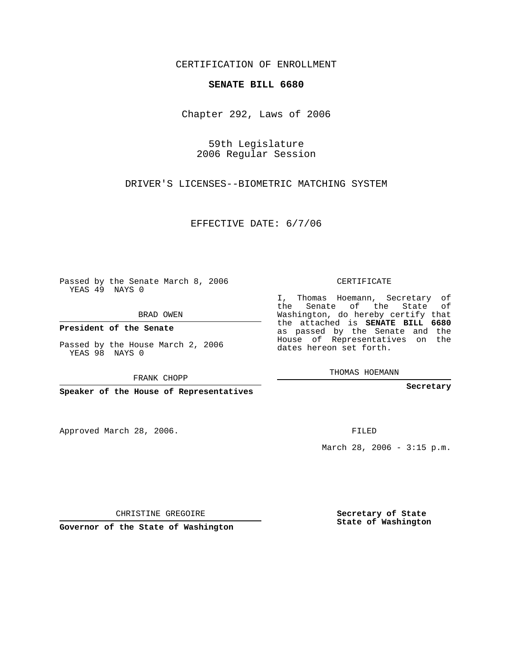CERTIFICATION OF ENROLLMENT

## **SENATE BILL 6680**

Chapter 292, Laws of 2006

59th Legislature 2006 Regular Session

DRIVER'S LICENSES--BIOMETRIC MATCHING SYSTEM

EFFECTIVE DATE: 6/7/06

Passed by the Senate March 8, 2006 YEAS 49 NAYS 0

BRAD OWEN

**President of the Senate**

Passed by the House March 2, 2006 YEAS 98 NAYS 0

FRANK CHOPP

**Speaker of the House of Representatives**

Approved March 28, 2006.

CERTIFICATE

I, Thomas Hoemann, Secretary of the Senate of the State of Washington, do hereby certify that the attached is **SENATE BILL 6680** as passed by the Senate and the House of Representatives on the dates hereon set forth.

THOMAS HOEMANN

**Secretary**

FILED

March 28, 2006 - 3:15 p.m.

CHRISTINE GREGOIRE

**Governor of the State of Washington**

**Secretary of State State of Washington**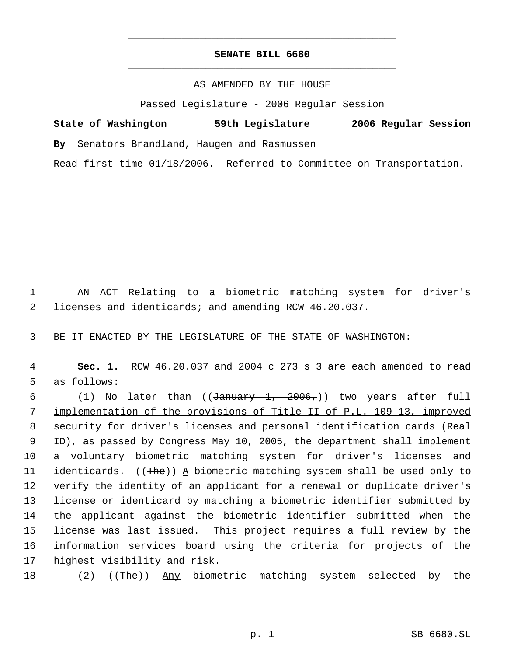## **SENATE BILL 6680** \_\_\_\_\_\_\_\_\_\_\_\_\_\_\_\_\_\_\_\_\_\_\_\_\_\_\_\_\_\_\_\_\_\_\_\_\_\_\_\_\_\_\_\_\_

\_\_\_\_\_\_\_\_\_\_\_\_\_\_\_\_\_\_\_\_\_\_\_\_\_\_\_\_\_\_\_\_\_\_\_\_\_\_\_\_\_\_\_\_\_

## AS AMENDED BY THE HOUSE

Passed Legislature - 2006 Regular Session

**State of Washington 59th Legislature 2006 Regular Session By** Senators Brandland, Haugen and Rasmussen

Read first time 01/18/2006. Referred to Committee on Transportation.

 1 AN ACT Relating to a biometric matching system for driver's 2 licenses and identicards; and amending RCW 46.20.037.

3 BE IT ENACTED BY THE LEGISLATURE OF THE STATE OF WASHINGTON:

 4 **Sec. 1.** RCW 46.20.037 and 2004 c 273 s 3 are each amended to read 5 as follows:

6 (1) No later than ((January 1, 2006,)) two years after full implementation of the provisions of Title II of P.L. 109-13, improved security for driver's licenses and personal identification cards (Real 9 ID), as passed by Congress May 10, 2005, the department shall implement a voluntary biometric matching system for driver's licenses and 11 identicards. ((The)) A biometric matching system shall be used only to verify the identity of an applicant for a renewal or duplicate driver's license or identicard by matching a biometric identifier submitted by the applicant against the biometric identifier submitted when the license was last issued. This project requires a full review by the information services board using the criteria for projects of the highest visibility and risk.

18 (2) ((The)) Any biometric matching system selected by the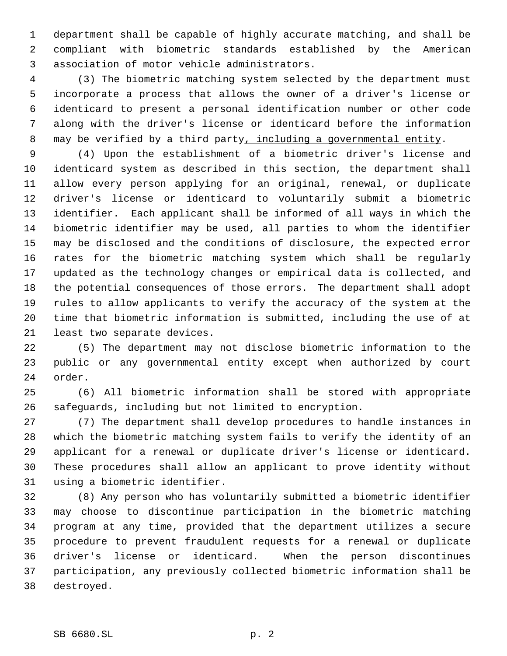department shall be capable of highly accurate matching, and shall be compliant with biometric standards established by the American association of motor vehicle administrators.

 (3) The biometric matching system selected by the department must incorporate a process that allows the owner of a driver's license or identicard to present a personal identification number or other code along with the driver's license or identicard before the information 8 may be verified by a third party, including a governmental entity.

 (4) Upon the establishment of a biometric driver's license and identicard system as described in this section, the department shall allow every person applying for an original, renewal, or duplicate driver's license or identicard to voluntarily submit a biometric identifier. Each applicant shall be informed of all ways in which the biometric identifier may be used, all parties to whom the identifier may be disclosed and the conditions of disclosure, the expected error rates for the biometric matching system which shall be regularly updated as the technology changes or empirical data is collected, and the potential consequences of those errors. The department shall adopt rules to allow applicants to verify the accuracy of the system at the time that biometric information is submitted, including the use of at least two separate devices.

 (5) The department may not disclose biometric information to the public or any governmental entity except when authorized by court order.

 (6) All biometric information shall be stored with appropriate safeguards, including but not limited to encryption.

 (7) The department shall develop procedures to handle instances in which the biometric matching system fails to verify the identity of an applicant for a renewal or duplicate driver's license or identicard. These procedures shall allow an applicant to prove identity without using a biometric identifier.

 (8) Any person who has voluntarily submitted a biometric identifier may choose to discontinue participation in the biometric matching program at any time, provided that the department utilizes a secure procedure to prevent fraudulent requests for a renewal or duplicate driver's license or identicard. When the person discontinues participation, any previously collected biometric information shall be destroyed.